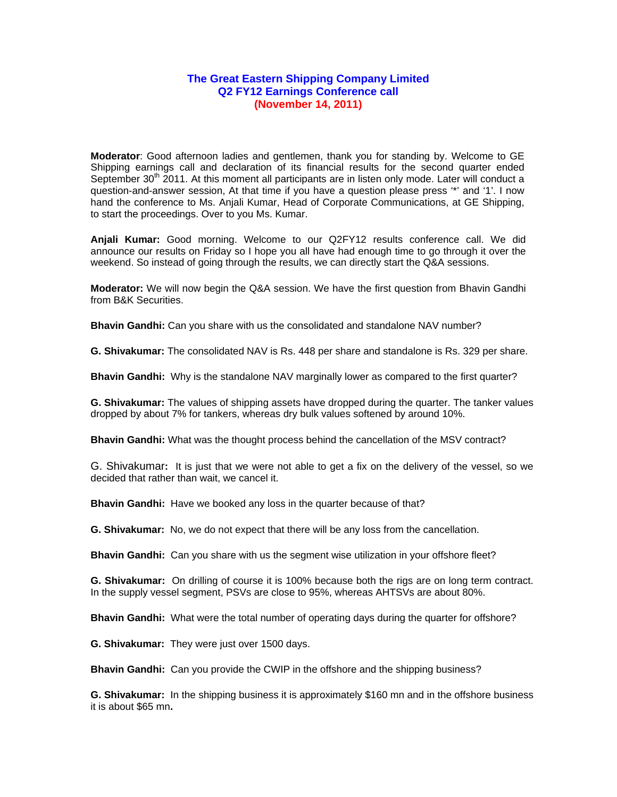## **The Great Eastern Shipping Company Limited Q2 FY12 Earnings Conference call (November 14, 2011)**

**Moderator**: Good afternoon ladies and gentlemen, thank you for standing by. Welcome to GE Shipping earnings call and declaration of its financial results for the second quarter ended September 30<sup>th</sup> 2011. At this moment all participants are in listen only mode. Later will conduct a question-and-answer session, At that time if you have a question please press '\*' and '1'. I now hand the conference to Ms. Anjali Kumar, Head of Corporate Communications, at GE Shipping, to start the proceedings. Over to you Ms. Kumar.

**Anjali Kumar:** Good morning. Welcome to our Q2FY12 results conference call. We did announce our results on Friday so I hope you all have had enough time to go through it over the weekend. So instead of going through the results, we can directly start the Q&A sessions.

**Moderator:** We will now begin the Q&A session. We have the first question from Bhavin Gandhi from B&K Securities.

**Bhavin Gandhi:** Can you share with us the consolidated and standalone NAV number?

**G. Shivakumar:** The consolidated NAV is Rs. 448 per share and standalone is Rs. 329 per share.

**Bhavin Gandhi:** Why is the standalone NAV marginally lower as compared to the first quarter?

**G. Shivakumar:** The values of shipping assets have dropped during the quarter. The tanker values dropped by about 7% for tankers, whereas dry bulk values softened by around 10%.

**Bhavin Gandhi:** What was the thought process behind the cancellation of the MSV contract?

G. Shivakumar**:** It is just that we were not able to get a fix on the delivery of the vessel, so we decided that rather than wait, we cancel it.

**Bhavin Gandhi:** Have we booked any loss in the quarter because of that?

**G. Shivakumar:** No, we do not expect that there will be any loss from the cancellation.

**Bhavin Gandhi:** Can you share with us the segment wise utilization in your offshore fleet?

**G. Shivakumar:** On drilling of course it is 100% because both the rigs are on long term contract. In the supply vessel segment, PSVs are close to 95%, whereas AHTSVs are about 80%.

**Bhavin Gandhi:** What were the total number of operating days during the quarter for offshore?

**G. Shivakumar:** They were just over 1500 days.

**Bhavin Gandhi:** Can you provide the CWIP in the offshore and the shipping business?

**G. Shivakumar:** In the shipping business it is approximately \$160 mn and in the offshore business it is about \$65 mn**.**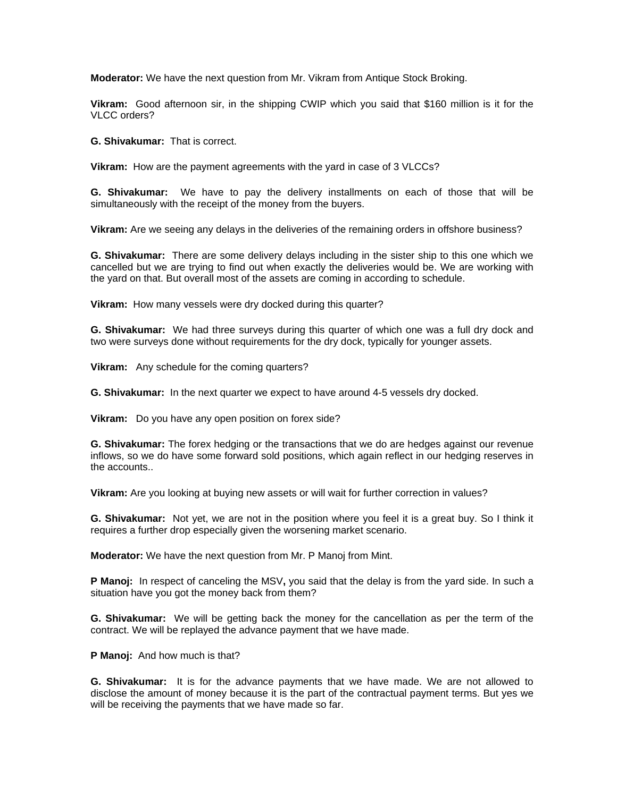**Moderator:** We have the next question from Mr. Vikram from Antique Stock Broking.

**Vikram:** Good afternoon sir, in the shipping CWIP which you said that \$160 million is it for the VLCC orders?

**G. Shivakumar:** That is correct.

**Vikram:** How are the payment agreements with the yard in case of 3 VLCCs?

**G. Shivakumar:** We have to pay the delivery installments on each of those that will be simultaneously with the receipt of the money from the buyers.

**Vikram:** Are we seeing any delays in the deliveries of the remaining orders in offshore business?

**G. Shivakumar:** There are some delivery delays including in the sister ship to this one which we cancelled but we are trying to find out when exactly the deliveries would be. We are working with the yard on that. But overall most of the assets are coming in according to schedule.

**Vikram:** How many vessels were dry docked during this quarter?

**G. Shivakumar:** We had three surveys during this quarter of which one was a full dry dock and two were surveys done without requirements for the dry dock, typically for younger assets.

**Vikram:** Any schedule for the coming quarters?

**G. Shivakumar:** In the next quarter we expect to have around 4-5 vessels dry docked.

**Vikram:** Do you have any open position on forex side?

**G. Shivakumar:** The forex hedging or the transactions that we do are hedges against our revenue inflows, so we do have some forward sold positions, which again reflect in our hedging reserves in the accounts..

**Vikram:** Are you looking at buying new assets or will wait for further correction in values?

**G. Shivakumar:** Not yet, we are not in the position where you feel it is a great buy. So I think it requires a further drop especially given the worsening market scenario.

**Moderator:** We have the next question from Mr. P Manoj from Mint.

**P Manoj:** In respect of canceling the MSV**,** you said that the delay is from the yard side. In such a situation have you got the money back from them?

**G. Shivakumar:** We will be getting back the money for the cancellation as per the term of the contract. We will be replayed the advance payment that we have made.

**P Manoj:** And how much is that?

**G. Shivakumar:** It is for the advance payments that we have made. We are not allowed to disclose the amount of money because it is the part of the contractual payment terms. But yes we will be receiving the payments that we have made so far.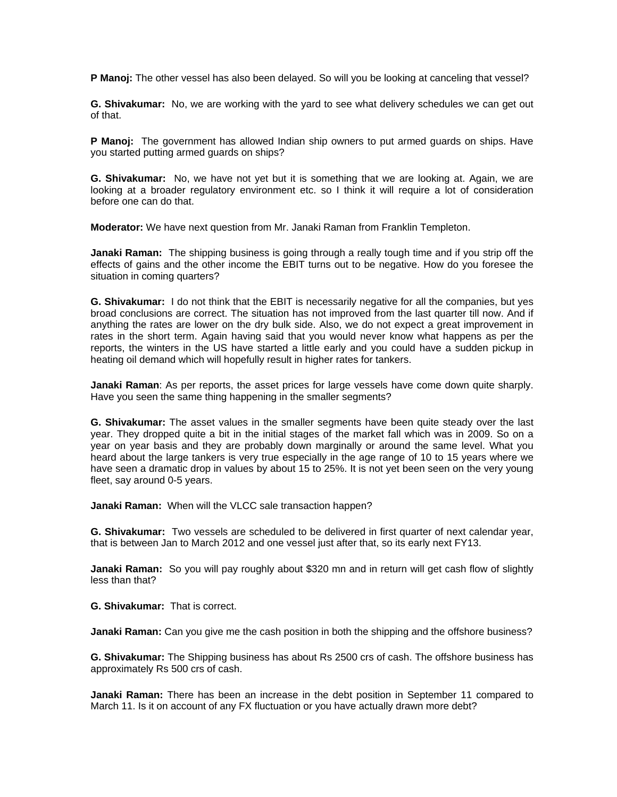**P Manoj:** The other vessel has also been delayed. So will you be looking at canceling that vessel?

**G. Shivakumar:** No, we are working with the yard to see what delivery schedules we can get out of that.

**P Manoj:** The government has allowed Indian ship owners to put armed guards on ships. Have you started putting armed guards on ships?

**G. Shivakumar:** No, we have not yet but it is something that we are looking at. Again, we are looking at a broader regulatory environment etc. so I think it will require a lot of consideration before one can do that.

**Moderator:** We have next question from Mr. Janaki Raman from Franklin Templeton.

**Janaki Raman:** The shipping business is going through a really tough time and if you strip off the effects of gains and the other income the EBIT turns out to be negative. How do you foresee the situation in coming quarters?

**G. Shivakumar:** I do not think that the EBIT is necessarily negative for all the companies, but yes broad conclusions are correct. The situation has not improved from the last quarter till now. And if anything the rates are lower on the dry bulk side. Also, we do not expect a great improvement in rates in the short term. Again having said that you would never know what happens as per the reports, the winters in the US have started a little early and you could have a sudden pickup in heating oil demand which will hopefully result in higher rates for tankers.

**Janaki Raman**: As per reports, the asset prices for large vessels have come down quite sharply. Have you seen the same thing happening in the smaller segments?

**G. Shivakumar:** The asset values in the smaller segments have been quite steady over the last year. They dropped quite a bit in the initial stages of the market fall which was in 2009. So on a year on year basis and they are probably down marginally or around the same level. What you heard about the large tankers is very true especially in the age range of 10 to 15 years where we have seen a dramatic drop in values by about 15 to 25%. It is not yet been seen on the very young fleet, say around 0-5 years.

**Janaki Raman:** When will the VLCC sale transaction happen?

**G. Shivakumar:** Two vessels are scheduled to be delivered in first quarter of next calendar year, that is between Jan to March 2012 and one vessel just after that, so its early next FY13.

**Janaki Raman:** So you will pay roughly about \$320 mn and in return will get cash flow of slightly less than that?

**G. Shivakumar:** That is correct.

**Janaki Raman:** Can you give me the cash position in both the shipping and the offshore business?

**G. Shivakumar:** The Shipping business has about Rs 2500 crs of cash. The offshore business has approximately Rs 500 crs of cash.

**Janaki Raman:** There has been an increase in the debt position in September 11 compared to March 11. Is it on account of any FX fluctuation or you have actually drawn more debt?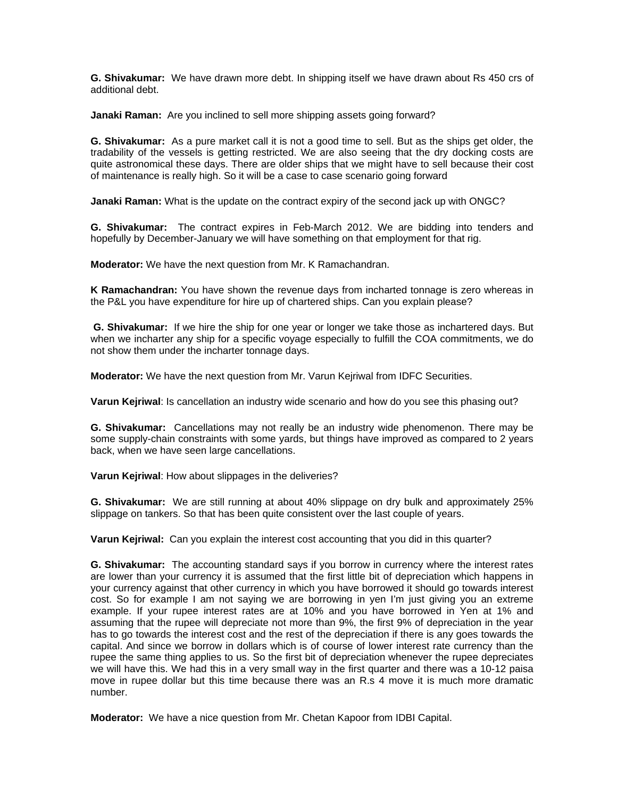**G. Shivakumar:** We have drawn more debt. In shipping itself we have drawn about Rs 450 crs of additional debt.

**Janaki Raman:** Are you inclined to sell more shipping assets going forward?

**G. Shivakumar:** As a pure market call it is not a good time to sell. But as the ships get older, the tradability of the vessels is getting restricted. We are also seeing that the dry docking costs are quite astronomical these days. There are older ships that we might have to sell because their cost of maintenance is really high. So it will be a case to case scenario going forward

**Janaki Raman:** What is the update on the contract expiry of the second jack up with ONGC?

**G. Shivakumar:** The contract expires in Feb-March 2012. We are bidding into tenders and hopefully by December-January we will have something on that employment for that rig.

**Moderator:** We have the next question from Mr. K Ramachandran.

**K Ramachandran:** You have shown the revenue days from incharted tonnage is zero whereas in the P&L you have expenditure for hire up of chartered ships. Can you explain please?

**G. Shivakumar:** If we hire the ship for one year or longer we take those as inchartered days. But when we incharter any ship for a specific voyage especially to fulfill the COA commitments, we do not show them under the incharter tonnage days.

**Moderator:** We have the next question from Mr. Varun Kejriwal from IDFC Securities.

**Varun Kejriwal**: Is cancellation an industry wide scenario and how do you see this phasing out?

**G. Shivakumar:** Cancellations may not really be an industry wide phenomenon. There may be some supply-chain constraints with some yards, but things have improved as compared to 2 years back, when we have seen large cancellations.

**Varun Kejriwal**: How about slippages in the deliveries?

**G. Shivakumar:** We are still running at about 40% slippage on dry bulk and approximately 25% slippage on tankers. So that has been quite consistent over the last couple of years.

**Varun Kejriwal:** Can you explain the interest cost accounting that you did in this quarter?

**G. Shivakumar:** The accounting standard says if you borrow in currency where the interest rates are lower than your currency it is assumed that the first little bit of depreciation which happens in your currency against that other currency in which you have borrowed it should go towards interest cost. So for example I am not saying we are borrowing in yen I'm just giving you an extreme example. If your rupee interest rates are at 10% and you have borrowed in Yen at 1% and assuming that the rupee will depreciate not more than 9%, the first 9% of depreciation in the year has to go towards the interest cost and the rest of the depreciation if there is any goes towards the capital. And since we borrow in dollars which is of course of lower interest rate currency than the rupee the same thing applies to us. So the first bit of depreciation whenever the rupee depreciates we will have this. We had this in a very small way in the first quarter and there was a 10-12 paisa move in rupee dollar but this time because there was an R.s 4 move it is much more dramatic number.

**Moderator:** We have a nice question from Mr. Chetan Kapoor from IDBI Capital.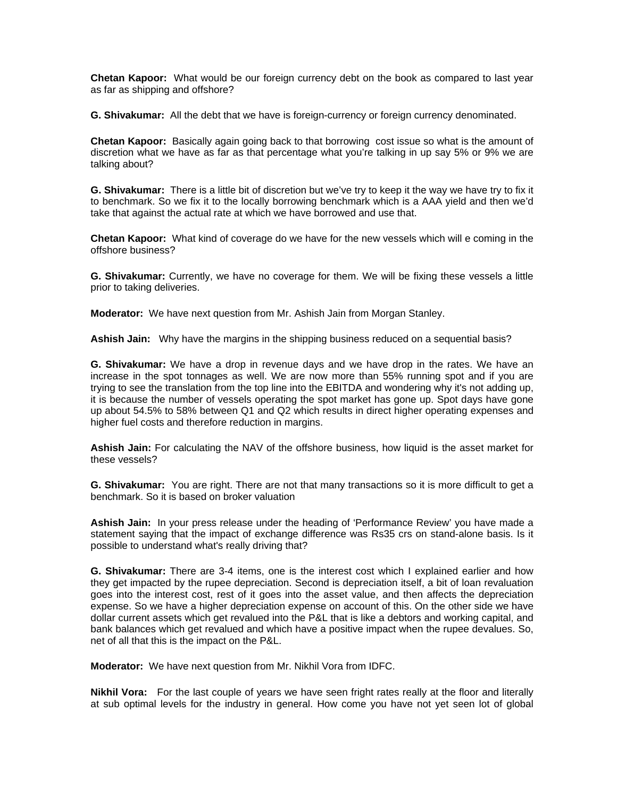**Chetan Kapoor:** What would be our foreign currency debt on the book as compared to last year as far as shipping and offshore?

**G. Shivakumar:** All the debt that we have is foreign-currency or foreign currency denominated.

**Chetan Kapoor:** Basically again going back to that borrowing cost issue so what is the amount of discretion what we have as far as that percentage what you're talking in up say 5% or 9% we are talking about?

**G. Shivakumar:** There is a little bit of discretion but we've try to keep it the way we have try to fix it to benchmark. So we fix it to the locally borrowing benchmark which is a AAA yield and then we'd take that against the actual rate at which we have borrowed and use that.

**Chetan Kapoor:** What kind of coverage do we have for the new vessels which will e coming in the offshore business?

**G. Shivakumar:** Currently, we have no coverage for them. We will be fixing these vessels a little prior to taking deliveries.

**Moderator:** We have next question from Mr. Ashish Jain from Morgan Stanley.

**Ashish Jain:** Why have the margins in the shipping business reduced on a sequential basis?

**G. Shivakumar:** We have a drop in revenue days and we have drop in the rates. We have an increase in the spot tonnages as well. We are now more than 55% running spot and if you are trying to see the translation from the top line into the EBITDA and wondering why it's not adding up, it is because the number of vessels operating the spot market has gone up. Spot days have gone up about 54.5% to 58% between Q1 and Q2 which results in direct higher operating expenses and higher fuel costs and therefore reduction in margins.

**Ashish Jain:** For calculating the NAV of the offshore business, how liquid is the asset market for these vessels?

**G. Shivakumar:** You are right. There are not that many transactions so it is more difficult to get a benchmark. So it is based on broker valuation

**Ashish Jain:** In your press release under the heading of 'Performance Review' you have made a statement saying that the impact of exchange difference was Rs35 crs on stand-alone basis. Is it possible to understand what's really driving that?

**G. Shivakumar:** There are 3-4 items, one is the interest cost which I explained earlier and how they get impacted by the rupee depreciation. Second is depreciation itself, a bit of loan revaluation goes into the interest cost, rest of it goes into the asset value, and then affects the depreciation expense. So we have a higher depreciation expense on account of this. On the other side we have dollar current assets which get revalued into the P&L that is like a debtors and working capital, and bank balances which get revalued and which have a positive impact when the rupee devalues. So, net of all that this is the impact on the P&L.

**Moderator:** We have next question from Mr. Nikhil Vora from IDFC.

**Nikhil Vora:** For the last couple of years we have seen fright rates really at the floor and literally at sub optimal levels for the industry in general. How come you have not yet seen lot of global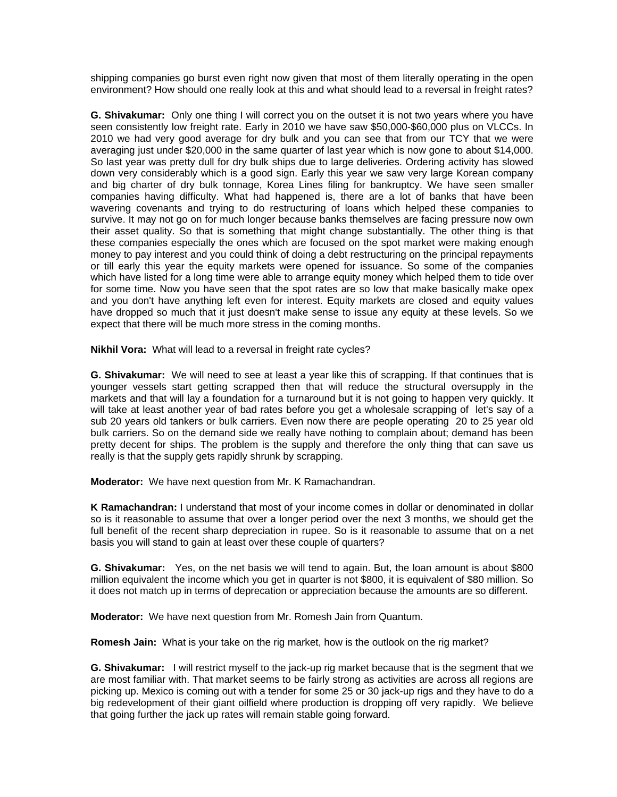shipping companies go burst even right now given that most of them literally operating in the open environment? How should one really look at this and what should lead to a reversal in freight rates?

**G. Shivakumar:** Only one thing I will correct you on the outset it is not two years where you have seen consistently low freight rate. Early in 2010 we have saw \$50,000-\$60,000 plus on VLCCs. In 2010 we had very good average for dry bulk and you can see that from our TCY that we were averaging just under \$20,000 in the same quarter of last year which is now gone to about \$14,000. So last year was pretty dull for dry bulk ships due to large deliveries. Ordering activity has slowed down very considerably which is a good sign. Early this year we saw very large Korean company and big charter of dry bulk tonnage, Korea Lines filing for bankruptcy. We have seen smaller companies having difficulty. What had happened is, there are a lot of banks that have been wavering covenants and trying to do restructuring of loans which helped these companies to survive. It may not go on for much longer because banks themselves are facing pressure now own their asset quality. So that is something that might change substantially. The other thing is that these companies especially the ones which are focused on the spot market were making enough money to pay interest and you could think of doing a debt restructuring on the principal repayments or till early this year the equity markets were opened for issuance. So some of the companies which have listed for a long time were able to arrange equity money which helped them to tide over for some time. Now you have seen that the spot rates are so low that make basically make opex and you don't have anything left even for interest. Equity markets are closed and equity values have dropped so much that it just doesn't make sense to issue any equity at these levels. So we expect that there will be much more stress in the coming months.

**Nikhil Vora:** What will lead to a reversal in freight rate cycles?

**G. Shivakumar:** We will need to see at least a year like this of scrapping. If that continues that is younger vessels start getting scrapped then that will reduce the structural oversupply in the markets and that will lay a foundation for a turnaround but it is not going to happen very quickly. It will take at least another year of bad rates before you get a wholesale scrapping of let's say of a sub 20 years old tankers or bulk carriers. Even now there are people operating 20 to 25 year old bulk carriers. So on the demand side we really have nothing to complain about; demand has been pretty decent for ships. The problem is the supply and therefore the only thing that can save us really is that the supply gets rapidly shrunk by scrapping.

**Moderator:** We have next question from Mr. K Ramachandran.

**K Ramachandran:** I understand that most of your income comes in dollar or denominated in dollar so is it reasonable to assume that over a longer period over the next 3 months, we should get the full benefit of the recent sharp depreciation in rupee. So is it reasonable to assume that on a net basis you will stand to gain at least over these couple of quarters?

**G. Shivakumar:** Yes, on the net basis we will tend to again. But, the loan amount is about \$800 million equivalent the income which you get in quarter is not \$800, it is equivalent of \$80 million. So it does not match up in terms of deprecation or appreciation because the amounts are so different.

**Moderator:** We have next question from Mr. Romesh Jain from Quantum.

**Romesh Jain:** What is your take on the rig market, how is the outlook on the rig market?

**G. Shivakumar:** I will restrict myself to the jack-up rig market because that is the segment that we are most familiar with. That market seems to be fairly strong as activities are across all regions are picking up. Mexico is coming out with a tender for some 25 or 30 jack-up rigs and they have to do a big redevelopment of their giant oilfield where production is dropping off very rapidly. We believe that going further the jack up rates will remain stable going forward.